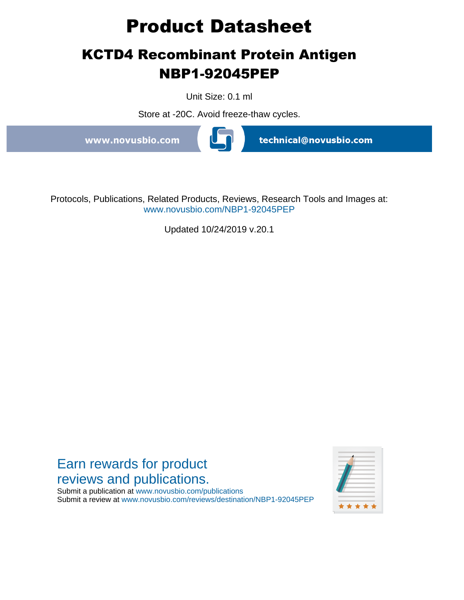# **Product Datasheet**

# **KCTD4 Recombinant Protein Antigen NBP1-92045PEP**

Unit Size: 0.1 ml

Store at -20C. Avoid freeze-thaw cycles.

www.novusbio.com



technical@novusbio.com

Protocols, Publications, Related Products, Reviews, Research Tools and Images at: www.novusbio.com/NBP1-92045PEP

Updated 10/24/2019 v.20.1



Submit a publication at www.novusbio.com/publications Submit a review at www.novusbio.com/reviews/destination/NBP1-92045PEP

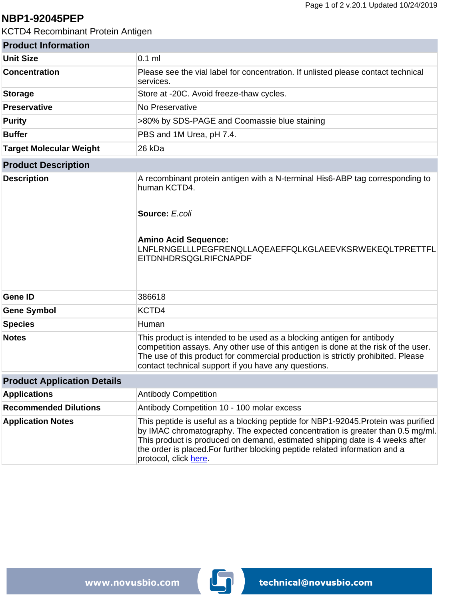#### **NBP1-92045PEP**

KCTD4 Recombinant Protein Antigen

| <b>Product Information</b>         |                                                                                                                                                                                                                                                                                                                                                            |
|------------------------------------|------------------------------------------------------------------------------------------------------------------------------------------------------------------------------------------------------------------------------------------------------------------------------------------------------------------------------------------------------------|
| <b>Unit Size</b>                   | $0.1$ ml                                                                                                                                                                                                                                                                                                                                                   |
| <b>Concentration</b>               | Please see the vial label for concentration. If unlisted please contact technical<br>services.                                                                                                                                                                                                                                                             |
| <b>Storage</b>                     | Store at -20C. Avoid freeze-thaw cycles.                                                                                                                                                                                                                                                                                                                   |
| <b>Preservative</b>                | No Preservative                                                                                                                                                                                                                                                                                                                                            |
| <b>Purity</b>                      | >80% by SDS-PAGE and Coomassie blue staining                                                                                                                                                                                                                                                                                                               |
| <b>Buffer</b>                      | PBS and 1M Urea, pH 7.4.                                                                                                                                                                                                                                                                                                                                   |
| <b>Target Molecular Weight</b>     | 26 kDa                                                                                                                                                                                                                                                                                                                                                     |
| <b>Product Description</b>         |                                                                                                                                                                                                                                                                                                                                                            |
| <b>Description</b>                 | A recombinant protein antigen with a N-terminal His6-ABP tag corresponding to<br>human KCTD4.<br>Source: E.coli                                                                                                                                                                                                                                            |
|                                    | <b>Amino Acid Sequence:</b><br>LNFLRNGELLLPEGFRENQLLAQEAEFFQLKGLAEEVKSRWEKEQLTPRETTFL<br><b>EITDNHDRSQGLRIFCNAPDF</b>                                                                                                                                                                                                                                      |
| <b>Gene ID</b>                     | 386618                                                                                                                                                                                                                                                                                                                                                     |
| <b>Gene Symbol</b>                 | KCTD4                                                                                                                                                                                                                                                                                                                                                      |
| <b>Species</b>                     | Human                                                                                                                                                                                                                                                                                                                                                      |
| <b>Notes</b>                       | This product is intended to be used as a blocking antigen for antibody<br>competition assays. Any other use of this antigen is done at the risk of the user.<br>The use of this product for commercial production is strictly prohibited. Please<br>contact technical support if you have any questions.                                                   |
| <b>Product Application Details</b> |                                                                                                                                                                                                                                                                                                                                                            |
| <b>Applications</b>                | <b>Antibody Competition</b>                                                                                                                                                                                                                                                                                                                                |
| <b>Recommended Dilutions</b>       | Antibody Competition 10 - 100 molar excess                                                                                                                                                                                                                                                                                                                 |
| <b>Application Notes</b>           | This peptide is useful as a blocking peptide for NBP1-92045. Protein was purified<br>by IMAC chromatography. The expected concentration is greater than 0.5 mg/ml.<br>This product is produced on demand, estimated shipping date is 4 weeks after<br>the order is placed. For further blocking peptide related information and a<br>protocol, click here. |

www.novusbio.com